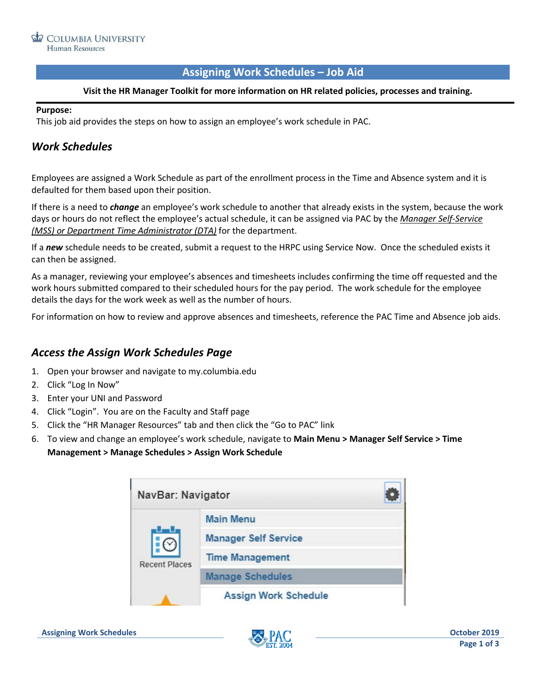#### **Assigning Work Schedules – Job Aid**

#### **Visit the HR Manager Toolkit for more information on HR related policies, processes and training.**

#### **Purpose:**

This job aid provides the steps on how to assign an employee's work schedule in PAC.

## *Work Schedules*

Employees are assigned a Work Schedule as part of the enrollment process in the Time and Absence system and it is defaulted for them based upon their position.

If there is a need to *change* an employee's work schedule to another that already exists in the system, because the work days or hours do not reflect the employee's actual schedule, it can be assigned via PAC by the *Manager Self-Service (MSS) or Department Time Administrator (DTA)* for the department.

If a *new* schedule needs to be created, submit a request to the HRPC using Service Now. Once the scheduled exists it can then be assigned.

As a manager, reviewing your employee's absences and timesheets includes confirming the time off requested and the work hours submitted compared to their scheduled hours for the pay period. The work schedule for the employee details the days for the work week as well as the number of hours.

For information on how to review and approve absences and timesheets, reference the PAC Time and Absence job aids.

### *Access the Assign Work Schedules Page*

- 1. Open your browser and navigate to my.columbia.edu
- 2. Click "Log In Now"
- 3. Enter your UNI and Password
- 4. Click "Login". You are on the Faculty and Staff page
- 5. Click the "HR Manager Resources" tab and then click the "Go to PAC" link
- 6. To view and change an employee's work schedule, navigate to **Main Menu > Manager Self Service > Time Management > Manage Schedules > Assign Work Schedule**

| NavBar: Navigator    |                             |  |
|----------------------|-----------------------------|--|
| <b>Recent Places</b> | <b>Main Menu</b>            |  |
|                      | <b>Manager Self Service</b> |  |
|                      | <b>Time Management</b>      |  |
|                      | <b>Manage Schedules</b>     |  |
|                      | <b>Assign Work Schedule</b> |  |

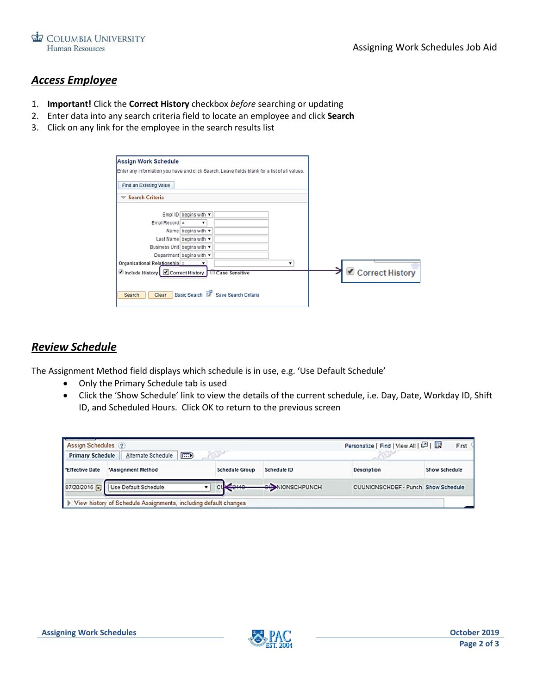

## *Access Employee*

- 1. **Important!** Click the **Correct History** checkbox *before* searching or updating
- 2. Enter data into any search criteria field to locate an employee and click **Search**
- 3. Click on any link for the employee in the search results list

| Enter any information you have and click Search. Leave fields blank for a list of all values. |                                       |  |                 |
|-----------------------------------------------------------------------------------------------|---------------------------------------|--|-----------------|
| <b>Find an Existing Value</b>                                                                 |                                       |  |                 |
| <b>Search Criteria</b><br>$\checkmark$                                                        |                                       |  |                 |
|                                                                                               | Empl ID begins with v                 |  |                 |
| $Empl$ Record $=$                                                                             | $\pmb{\mathrm{v}}$                    |  |                 |
|                                                                                               | Name begins with $\blacktriangledown$ |  |                 |
|                                                                                               | Last Name begins with v               |  |                 |
|                                                                                               | Business Unit begins with v           |  |                 |
|                                                                                               | Department begins with v              |  |                 |
| Organizational Relationship $=$                                                               |                                       |  |                 |
| ■ Include History Correct History Case Sensitive                                              |                                       |  | Correct History |
|                                                                                               |                                       |  |                 |

### *Review Schedule*

The Assignment Method field displays which schedule is in use, e.g. 'Use Default Schedule'

- Only the Primary Schedule tab is used
- Click the 'Show Schedule' link to view the details of the current schedule, i.e. Day, Date, Workday ID, Shift ID, and Scheduled Hours. Click OK to return to the previous screen

| Assign Schedules (?)    |                                                                   |                       |                       | Personalize   Find   View All   2   | First \              |
|-------------------------|-------------------------------------------------------------------|-----------------------|-----------------------|-------------------------------------|----------------------|
| <b>Primary Schedule</b> | F: D<br>Alternate Schedule                                        |                       |                       |                                     |                      |
| <b>Effective Date</b>   | *Assignment Method                                                | <b>Schedule Group</b> | Schedule ID           | <b>Description</b>                  | <b>Show Schedule</b> |
|                         | 07/20/2016 1 Use Default Schedule                                 | 62110                 | <b>OUNIONSCHPUNCH</b> | CUUNIONSCHDEF - Punch Show Schedule |                      |
|                         | I View history of Schedule Assignments, including default changes |                       |                       |                                     |                      |